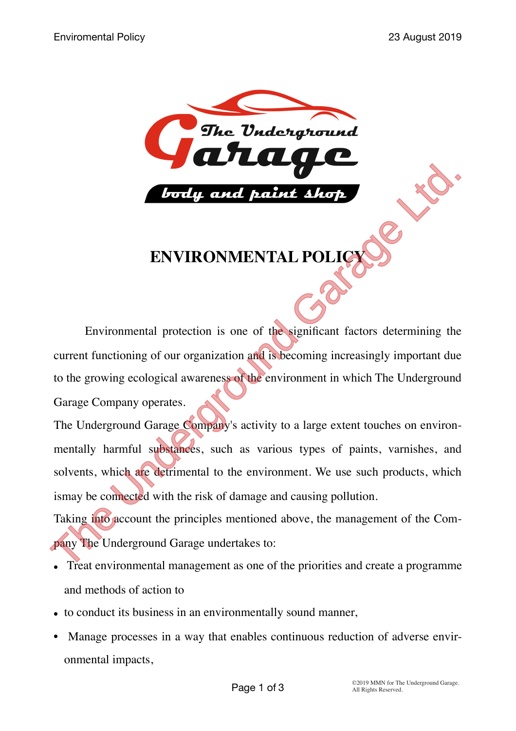

## **ENVIRONMENTAL POLICY**

Environmental protection is one of the significant factors determining the current functioning of our organization and is becoming increasingly important due to the growing ecological awareness of the environment in which The Underground Garage Company operates. ENVIRONMENTAL POLICE CONTROLLING TO THE Underground Garage Company's activity to a large extent touches on environmental protection is one of the significant factors determining the current functioning of our organization

The Underground Garage Company's activity to a large extent touches on environmentally harmful substances, such as various types of paints, varnishes, and solvents, which are detrimental to the environment. We use such products, which ismay be connected with the risk of damage and causing pollution.

Taking into account the principles mentioned above, the management of the Company The Underground Garage undertakes to:

- Treat environmental management as one of the priorities and create a programme and methods of action to
- to conduct its business in an environmentally sound manner,
- Manage processes in a way that enables continuous reduction of adverse environmental impacts,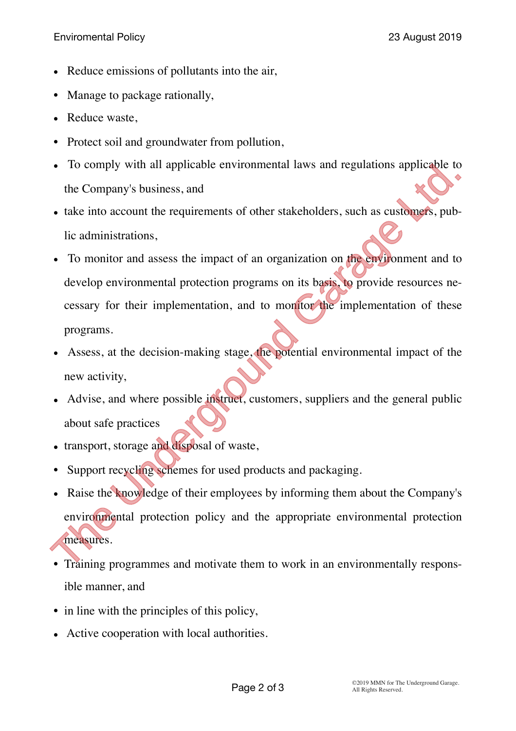- Reduce emissions of pollutants into the air,
- Manage to package rationally,
- Reduce waste,
- Protect soil and groundwater from pollution,
- To comply with all applicable environmental laws and regulations applicable to the Company's business, and
- take into account the requirements of other stakeholders, such as customers, public administrations,
- To monitor and assess the impact of an organization on the environment and to develop environmental protection programs on its basis, to provide resources necessary for their implementation, and to monitor the implementation of these programs. • The United States and disposal of wate.<br>• The United States and The United States and the Company's business, and<br>• take into account the requirements of other stakeholders, such as customers, pub-<br>• To monitor and asses
- Assess, at the decision-making stage, the potential environmental impact of the new activity,
- Advise, and where possible instruct, customers, suppliers and the general public about safe practices
- transport, storage and disposal of waste,
- Support recycling schemes for used products and packaging.
- Raise the knowledge of their employees by informing them about the Company's environmental protection policy and the appropriate environmental protection measures.
- Training programmes and motivate them to work in an environmentally responsible manner, and
- in line with the principles of this policy,
- Active cooperation with local authorities.